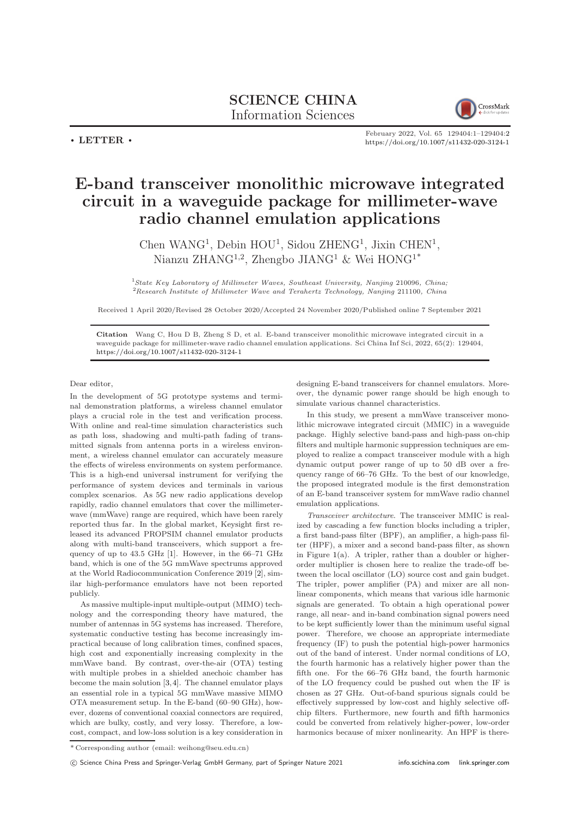## SCIENCE CHINA Information Sciences



 $\cdot$  LETTER  $\cdot$ 

February 2022, Vol. 65 129404:1–129404[:2](#page-1-0) <https://doi.org/10.1007/s11432-020-3124-1>

## E-band transceiver monolithic microwave integrated circuit in a waveguide package for millimeter-wave radio channel emulation applications

Chen WANG<sup>1</sup>, Debin HOU<sup>1</sup>, Sidou ZHENG<sup>1</sup>, Jixin CHEN<sup>1</sup>, Nianzu ZHANG<sup>1,2</sup>, Zhengbo JIANG<sup>1</sup> & Wei HONG<sup>1\*</sup>

 $<sup>1</sup> State Key Laboratory of Millimeter Waves, Southeast University, Nanjing 210096, China;$ </sup> <sup>2</sup>Research Institute of Millimeter Wave and Terahertz Technology, Nanjing 211100, China

Received 1 April 2020/Revised 28 October 2020/Accepted 24 November 2020/Published online 7 September 2021

Citation Wang C, Hou D B, Zheng S D, et al. E-band transceiver monolithic microwave integrated circuit in a waveguide package for millimeter-wave radio channel emulation applications. Sci China Inf Sci, 2022, 65(2): 129404, <https://doi.org/10.1007/s11432-020-3124-1>

Dear editor,

In the development of 5G prototype systems and terminal demonstration platforms, a wireless channel emulator plays a crucial role in the test and verification process. With online and real-time simulation characteristics such as path loss, shadowing and multi-path fading of transmitted signals from antenna ports in a wireless environment, a wireless channel emulator can accurately measure the effects of wireless environments on system performance. This is a high-end universal instrument for verifying the performance of system devices and terminals in various complex scenarios. As 5G new radio applications develop rapidly, radio channel emulators that cover the millimeterwave (mmWave) range are required, which have been rarely reported thus far. In the global market, Keysight first released its advanced PROPSIM channel emulator products along with multi-band transceivers, which support a frequency of up to 43.5 GHz [\[1\]](#page-1-1). However, in the 66–71 GHz band, which is one of the 5G mmWave spectrums approved at the World Radiocommunication Conference 2019 [\[2\]](#page-1-2), similar high-performance emulators have not been reported publicly.

As massive multiple-input multiple-output (MIMO) technology and the corresponding theory have matured, the number of antennas in 5G systems has increased. Therefore, systematic conductive testing has become increasingly impractical because of long calibration times, confined spaces, high cost and exponentially increasing complexity in the mmWave band. By contrast, over-the-air (OTA) testing with multiple probes in a shielded anechoic chamber has become the main solution [\[3,](#page-1-3)[4\]](#page-1-4). The channel emulator plays an essential role in a typical 5G mmWave massive MIMO OTA measurement setup. In the E-band (60–90 GHz), however, dozens of conventional coaxial connectors are required, which are bulky, costly, and very lossy. Therefore, a lowcost, compact, and low-loss solution is a key consideration in designing E-band transceivers for channel emulators. Moreover, the dynamic power range should be high enough to simulate various channel characteristics.

In this study, we present a mmWave transceiver monolithic microwave integrated circuit (MMIC) in a waveguide package. Highly selective band-pass and high-pass on-chip filters and multiple harmonic suppression techniques are employed to realize a compact transceiver module with a high dynamic output power range of up to 50 dB over a frequency range of 66–76 GHz. To the best of our knowledge, the proposed integrated module is the first demonstration of an E-band transceiver system for mmWave radio channel emulation applications.

Transceiver architecture. The transceiver MMIC is realized by cascading a few function blocks including a tripler, a first band-pass filter (BPF), an amplifier, a high-pass filter (HPF), a mixer and a second band-pass filter, as shown in Figure  $1(a)$  $1(a)$ . A tripler, rather than a doubler or higherorder multiplier is chosen here to realize the trade-off between the local oscillator (LO) source cost and gain budget. The tripler, power amplifier (PA) and mixer are all nonlinear components, which means that various idle harmonic signals are generated. To obtain a high operational power range, all near- and in-band combination signal powers need to be kept sufficiently lower than the minimum useful signal power. Therefore, we choose an appropriate intermediate frequency (IF) to push the potential high-power harmonics out of the band of interest. Under normal conditions of LO, the fourth harmonic has a relatively higher power than the fifth one. For the 66–76 GHz band, the fourth harmonic of the LO frequency could be pushed out when the IF is chosen as 27 GHz. Out-of-band spurious signals could be effectively suppressed by low-cost and highly selective offchip filters. Furthermore, new fourth and fifth harmonics could be converted from relatively higher-power, low-order harmonics because of mixer nonlinearity. An HPF is there-

<sup>\*</sup> Corresponding author (email: weihong@seu.edu.cn)

c Science China Press and Springer-Verlag GmbH Germany, part of Springer Nature 2021 <info.scichina.com><link.springer.com>